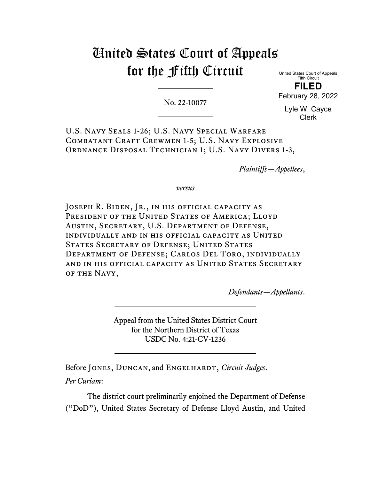# United States Court of Appeals for the Fifth Circuit

No. 22-10077

United States Court of Appeals Fifth Circuit **FILED**

February 28, 2022

Lyle W. Cayce Clerk

U.S. Navy Seals 1-26; U.S. Navy Special Warfare COMBATANT CRAFT CREWMEN 1-5; U.S. NAVY EXPLOSIVE ORDNANCE DISPOSAL TECHNICIAN 1; U.S. NAVY DIVERS 1-3,

*Plaintiffs—Appellees*,

*versus*

JOSEPH R. BIDEN, JR., IN HIS OFFICIAL CAPACITY AS PRESIDENT OF THE UNITED STATES OF AMERICA; LLOYD Austin, Secretary, U.S. Department of Defense, individually and in his official capacity as United STATES SECRETARY OF DEFENSE; UNITED STATES Department of Defense; Carlos Del Toro, individually and in his official capacity as United States Secretary of the Navy,

*Defendants—Appellants*.

Appeal from the United States District Court for the Northern District of Texas USDC No. 4:21-CV-1236

Before JONES, DUNCAN, and ENGELHARDT, *Circuit Judges*. *Per Curiam*:

The district court preliminarily enjoined the Department of Defense ("DoD"), United States Secretary of Defense Lloyd Austin, and United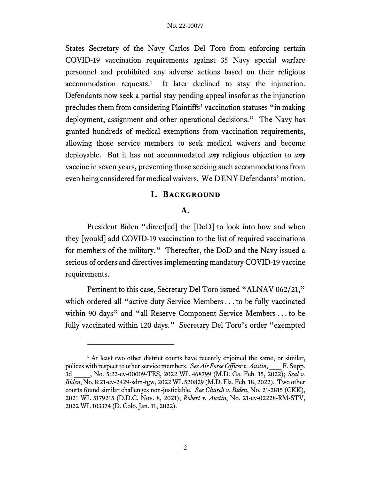States Secretary of the Navy Carlos Del Toro from enforcing certain COVID-19 vaccination requirements against 35 Navy special warfare personnel and prohibited any adverse actions based on their religious accommodation requests. [1](#page-1-0) It later declined to stay the injunction. Defendants now seek a partial stay pending appeal insofar as the injunction precludes them from considering Plaintiffs' vaccination statuses "in making deployment, assignment and other operational decisions." The Navy has granted hundreds of medical exemptions from vaccination requirements, allowing those service members to seek medical waivers and become deployable. But it has not accommodated *any* religious objection to *any* vaccine in seven years, preventing those seeking such accommodations from even being considered for medical waivers. We DENY Defendants' motion.

# **I. Background**

# **A.**

President Biden "direct[ed] the [DoD] to look into how and when they [would] add COVID-19 vaccination to the list of required vaccinations for members of the military." Thereafter, the DoD and the Navy issued a serious of orders and directives implementing mandatory COVID-19 vaccine requirements.

Pertinent to this case, Secretary Del Toro issued "ALNAV 062/21," which ordered all "active duty Service Members . . . to be fully vaccinated within 90 days" and "all Reserve Component Service Members . . . to be fully vaccinated within 120 days." Secretary Del Toro's order "exempted

<span id="page-1-0"></span><sup>&</sup>lt;sup>1</sup> At least two other district courts have recently enjoined the same, or similar, polices with respect to other service members. *See Air Force Officer v. Austin*, F. Supp. 3d \_\_\_\_, No. 5:22-cv-00009-TES, 2022 WL 468799 (M.D. Ga. Feb. 15, 2022); *Seal v. Biden*, No. 8:21-cv-2429-sdm-tgw, 2022 WL 520829 (M.D. Fla. Feb. 18, 2022). Two other courts found similar challenges non-justiciable. *See Church v. Biden*, No. 21-2815 (CKK), 2021 WL 5179215 (D.D.C. Nov. 8, 2021); *Robert v. Austin*, No. 21-cv-02228-RM-STV, 2022 WL 103374 (D. Colo. Jan. 11, 2022).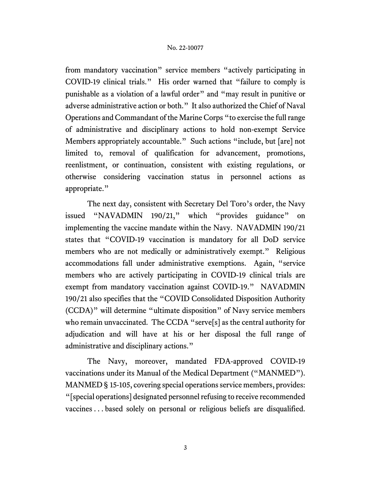from mandatory vaccination" service members "actively participating in COVID-19 clinical trials." His order warned that "failure to comply is punishable as a violation of a lawful order" and "may result in punitive or adverse administrative action or both." It also authorized the Chief of Naval Operations and Commandant of the Marine Corps "to exercise the full range of administrative and disciplinary actions to hold non-exempt Service Members appropriately accountable." Such actions "include, but [are] not limited to, removal of qualification for advancement, promotions, reenlistment, or continuation, consistent with existing regulations, or otherwise considering vaccination status in personnel actions as appropriate."

The next day, consistent with Secretary Del Toro's order, the Navy issued "NAVADMIN 190/21," which "provides guidance" on implementing the vaccine mandate within the Navy. NAVADMIN 190/21 states that "COVID-19 vaccination is mandatory for all DoD service members who are not medically or administratively exempt." Religious accommodations fall under administrative exemptions. Again, "service members who are actively participating in COVID-19 clinical trials are exempt from mandatory vaccination against COVID-19." NAVADMIN 190/21 also specifies that the "COVID Consolidated Disposition Authority (CCDA)" will determine "ultimate disposition" of Navy service members who remain unvaccinated. The CCDA "serve[s] as the central authority for adjudication and will have at his or her disposal the full range of administrative and disciplinary actions."

The Navy, moreover, mandated FDA-approved COVID-19 vaccinations under its Manual of the Medical Department ("MANMED"). MANMED § 15-105, covering special operations service members, provides: "[special operations] designated personnel refusing to receive recommended vaccines . . . based solely on personal or religious beliefs are disqualified.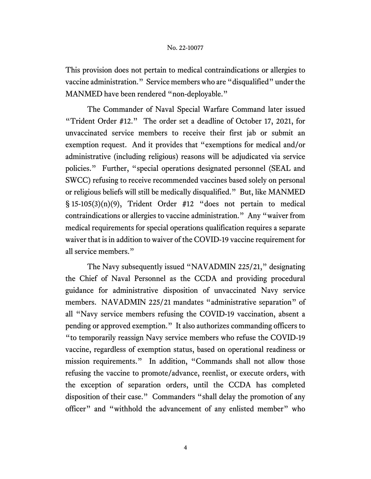This provision does not pertain to medical contraindications or allergies to vaccine administration." Service members who are "disqualified" under the MANMED have been rendered "non-deployable."

The Commander of Naval Special Warfare Command later issued "Trident Order #12." The order set a deadline of October 17, 2021, for unvaccinated service members to receive their first jab or submit an exemption request. And it provides that "exemptions for medical and/or administrative (including religious) reasons will be adjudicated via service policies." Further, "special operations designated personnel (SEAL and SWCC) refusing to receive recommended vaccines based solely on personal or religious beliefs will still be medically disqualified." But, like MANMED § 15-105(3)(n)(9), Trident Order #12 "does not pertain to medical contraindications or allergies to vaccine administration." Any "waiver from medical requirements for special operations qualification requires a separate waiver that is in addition to waiver of the COVID-19 vaccine requirement for all service members."

The Navy subsequently issued "NAVADMIN 225/21," designating the Chief of Naval Personnel as the CCDA and providing procedural guidance for administrative disposition of unvaccinated Navy service members. NAVADMIN 225/21 mandates "administrative separation" of all "Navy service members refusing the COVID-19 vaccination, absent a pending or approved exemption." It also authorizes commanding officers to "to temporarily reassign Navy service members who refuse the COVID-19 vaccine, regardless of exemption status, based on operational readiness or mission requirements." In addition, "Commands shall not allow those refusing the vaccine to promote/advance, reenlist, or execute orders, with the exception of separation orders, until the CCDA has completed disposition of their case." Commanders "shall delay the promotion of any officer" and "withhold the advancement of any enlisted member" who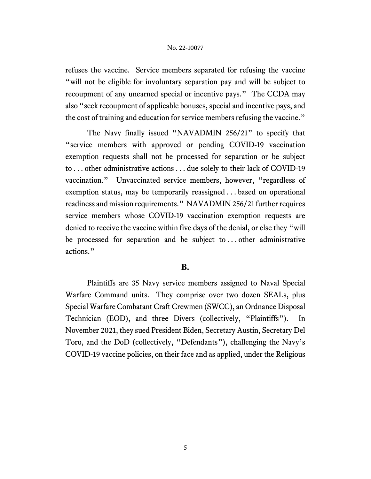refuses the vaccine. Service members separated for refusing the vaccine "will not be eligible for involuntary separation pay and will be subject to recoupment of any unearned special or incentive pays." The CCDA may also "seek recoupment of applicable bonuses, special and incentive pays, and the cost of training and education for service members refusing the vaccine."

The Navy finally issued "NAVADMIN 256/21" to specify that "service members with approved or pending COVID-19 vaccination exemption requests shall not be processed for separation or be subject to . . . other administrative actions . . . due solely to their lack of COVID-19 vaccination." Unvaccinated service members, however, "regardless of exemption status, may be temporarily reassigned . . . based on operational readiness and mission requirements." NAVADMIN 256/21 further requires service members whose COVID-19 vaccination exemption requests are denied to receive the vaccine within five days of the denial, or else they "will be processed for separation and be subject to . . . other administrative actions."

# **B.**

Plaintiffs are 35 Navy service members assigned to Naval Special Warfare Command units. They comprise over two dozen SEALs, plus Special Warfare Combatant Craft Crewmen (SWCC), an Ordnance Disposal Technician (EOD), and three Divers (collectively, "Plaintiffs"). In November 2021, they sued President Biden, Secretary Austin, Secretary Del Toro, and the DoD (collectively, "Defendants"), challenging the Navy's COVID-19 vaccine policies, on their face and as applied, under the Religious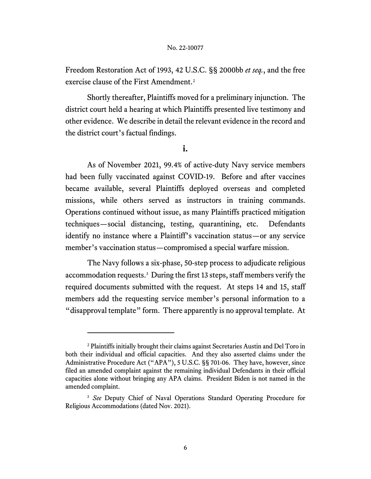Freedom Restoration Act of 1993, 42 U.S.C. §§ 2000bb *et seq.*, and the free exercise clause of the First Amendment.[2](#page-5-0)

Shortly thereafter, Plaintiffs moved for a preliminary injunction. The district court held a hearing at which Plaintiffs presented live testimony and other evidence. We describe in detail the relevant evidence in the record and the district court's factual findings.

**i.**

As of November 2021, 99.4% of active-duty Navy service members had been fully vaccinated against COVID-19. Before and after vaccines became available, several Plaintiffs deployed overseas and completed missions, while others served as instructors in training commands. Operations continued without issue, as many Plaintiffs practiced mitigation techniques—social distancing, testing, quarantining, etc. Defendants identify no instance where a Plaintiff's vaccination status—or any service member's vaccination status—compromised a special warfare mission.

The Navy follows a six-phase, 50-step process to adjudicate religious accommodation requests.<sup>3</sup> During the first 13 steps, staff members verify the required documents submitted with the request. At steps 14 and 15, staff members add the requesting service member's personal information to a "disapproval template" form. There apparently is no approval template. At

<span id="page-5-0"></span><sup>2</sup> Plaintiffs initially brought their claims against Secretaries Austin and Del Toro in both their individual and official capacities. And they also asserted claims under the Administrative Procedure Act ("APA"), 5 U.S.C. §§ 701-06. They have, however, since filed an amended complaint against the remaining individual Defendants in their official capacities alone without bringing any APA claims. President Biden is not named in the amended complaint.

<span id="page-5-1"></span><sup>&</sup>lt;sup>3</sup> See Deputy Chief of Naval Operations Standard Operating Procedure for Religious Accommodations (dated Nov. 2021).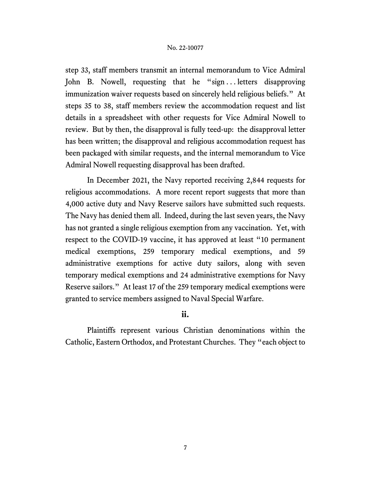step 33, staff members transmit an internal memorandum to Vice Admiral John B. Nowell, requesting that he "sign...letters disapproving immunization waiver requests based on sincerely held religious beliefs." At steps 35 to 38, staff members review the accommodation request and list details in a spreadsheet with other requests for Vice Admiral Nowell to review. But by then, the disapproval is fully teed-up: the disapproval letter has been written; the disapproval and religious accommodation request has been packaged with similar requests, and the internal memorandum to Vice Admiral Nowell requesting disapproval has been drafted.

In December 2021, the Navy reported receiving 2,844 requests for religious accommodations. A more recent report suggests that more than 4,000 active duty and Navy Reserve sailors have submitted such requests. The Navy has denied them all. Indeed, during the last seven years, the Navy has not granted a single religious exemption from any vaccination. Yet, with respect to the COVID-19 vaccine, it has approved at least "10 permanent medical exemptions, 259 temporary medical exemptions, and 59 administrative exemptions for active duty sailors, along with seven temporary medical exemptions and 24 administrative exemptions for Navy Reserve sailors." At least 17 of the 259 temporary medical exemptions were granted to service members assigned to Naval Special Warfare.

# **ii.**

Plaintiffs represent various Christian denominations within the Catholic, Eastern Orthodox, and Protestant Churches. They "each object to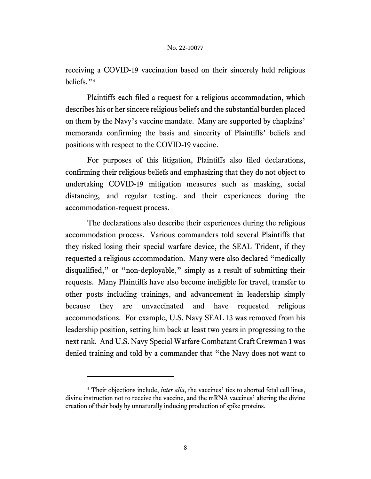receiving a COVID-19 vaccination based on their sincerely held religious beliefs."[4](#page-7-0)

Plaintiffs each filed a request for a religious accommodation, which describes his or her sincere religious beliefs and the substantial burden placed on them by the Navy's vaccine mandate. Many are supported by chaplains' memoranda confirming the basis and sincerity of Plaintiffs' beliefs and positions with respect to the COVID-19 vaccine.

For purposes of this litigation, Plaintiffs also filed declarations, confirming their religious beliefs and emphasizing that they do not object to undertaking COVID-19 mitigation measures such as masking, social distancing, and regular testing. and their experiences during the accommodation-request process.

The declarations also describe their experiences during the religious accommodation process. Various commanders told several Plaintiffs that they risked losing their special warfare device, the SEAL Trident, if they requested a religious accommodation. Many were also declared "medically disqualified," or "non-deployable," simply as a result of submitting their requests. Many Plaintiffs have also become ineligible for travel, transfer to other posts including trainings, and advancement in leadership simply because they are unvaccinated and have requested religious accommodations. For example, U.S. Navy SEAL 13 was removed from his leadership position, setting him back at least two years in progressing to the next rank. And U.S. Navy Special Warfare Combatant Craft Crewman 1 was denied training and told by a commander that "the Navy does not want to

<span id="page-7-0"></span><sup>&</sup>lt;sup>4</sup> Their objections include, *inter alia*, the vaccines' ties to aborted fetal cell lines, divine instruction not to receive the vaccine, and the mRNA vaccines' altering the divine creation of their body by unnaturally inducing production of spike proteins.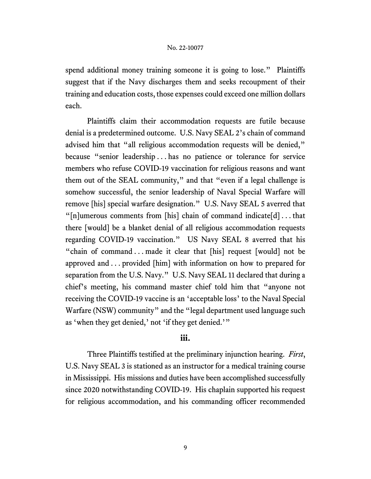spend additional money training someone it is going to lose." Plaintiffs suggest that if the Navy discharges them and seeks recoupment of their training and education costs, those expenses could exceed one million dollars each.

Plaintiffs claim their accommodation requests are futile because denial is a predetermined outcome. U.S. Navy SEAL 2's chain of command advised him that "all religious accommodation requests will be denied," because "senior leadership . . . has no patience or tolerance for service members who refuse COVID-19 vaccination for religious reasons and want them out of the SEAL community," and that "even if a legal challenge is somehow successful, the senior leadership of Naval Special Warfare will remove [his] special warfare designation." U.S. Navy SEAL 5 averred that " $[n]$ umerous comments from  $[n]$  chain of command indicate $[d]$ ...that there [would] be a blanket denial of all religious accommodation requests regarding COVID-19 vaccination." US Navy SEAL 8 averred that his "chain of command . . . made it clear that [his] request [would] not be approved and . . . provided [him] with information on how to prepared for separation from the U.S. Navy." U.S. Navy SEAL 11 declared that during a chief's meeting, his command master chief told him that "anyone not receiving the COVID-19 vaccine is an 'acceptable loss' to the Naval Special Warfare (NSW) community" and the "legal department used language such as 'when they get denied,' not 'if they get denied.'"

# **iii.**

Three Plaintiffs testified at the preliminary injunction hearing. *First*, U.S. Navy SEAL 3 is stationed as an instructor for a medical training course in Mississippi. His missions and duties have been accomplished successfully since 2020 notwithstanding COVID-19. His chaplain supported his request for religious accommodation, and his commanding officer recommended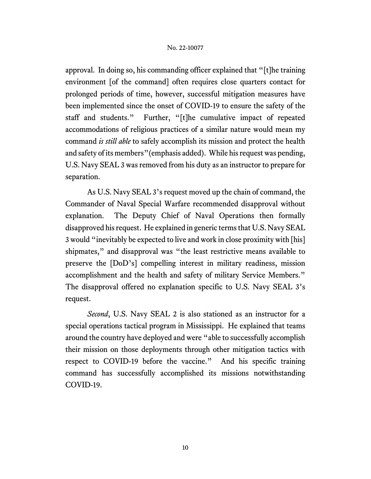approval. In doing so, his commanding officer explained that "[t]he training environment [of the command] often requires close quarters contact for prolonged periods of time, however, successful mitigation measures have been implemented since the onset of COVID-19 to ensure the safety of the staff and students." Further, "[t]he cumulative impact of repeated accommodations of religious practices of a similar nature would mean my command *is still able* to safely accomplish its mission and protect the health and safety of its members"(emphasis added). While his request was pending, U.S. Navy SEAL 3 was removed from his duty as an instructor to prepare for separation.

As U.S. Navy SEAL 3's request moved up the chain of command, the Commander of Naval Special Warfare recommended disapproval without explanation. The Deputy Chief of Naval Operations then formally disapproved his request. He explained in generic terms that U.S. Navy SEAL 3 would "inevitably be expected to live and work in close proximity with [his] shipmates," and disapproval was "the least restrictive means available to preserve the [DoD's] compelling interest in military readiness, mission accomplishment and the health and safety of military Service Members." The disapproval offered no explanation specific to U.S. Navy SEAL 3's request.

*Second*, U.S. Navy SEAL 2 is also stationed as an instructor for a special operations tactical program in Mississippi. He explained that teams around the country have deployed and were "able to successfully accomplish their mission on those deployments through other mitigation tactics with respect to COVID-19 before the vaccine." And his specific training command has successfully accomplished its missions notwithstanding COVID-19.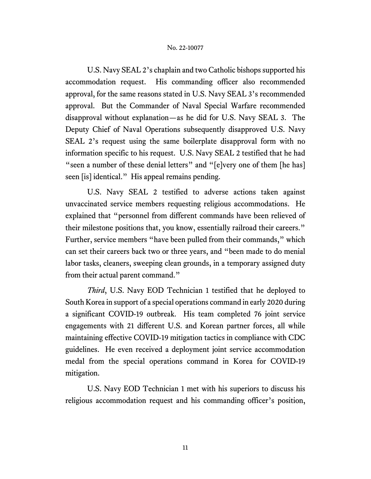U.S. Navy SEAL 2's chaplain and two Catholic bishops supported his accommodation request. His commanding officer also recommended approval, for the same reasons stated in U.S. Navy SEAL 3's recommended approval. But the Commander of Naval Special Warfare recommended disapproval without explanation—as he did for U.S. Navy SEAL 3. The Deputy Chief of Naval Operations subsequently disapproved U.S. Navy SEAL 2's request using the same boilerplate disapproval form with no information specific to his request. U.S. Navy SEAL 2 testified that he had "seen a number of these denial letters" and "[e]very one of them [he has] seen [is] identical." His appeal remains pending.

U.S. Navy SEAL 2 testified to adverse actions taken against unvaccinated service members requesting religious accommodations. He explained that "personnel from different commands have been relieved of their milestone positions that, you know, essentially railroad their careers." Further, service members "have been pulled from their commands," which can set their careers back two or three years, and "been made to do menial labor tasks, cleaners, sweeping clean grounds, in a temporary assigned duty from their actual parent command."

*Third*, U.S. Navy EOD Technician 1 testified that he deployed to South Korea in support of a special operations command in early 2020 during a significant COVID-19 outbreak. His team completed 76 joint service engagements with 21 different U.S. and Korean partner forces, all while maintaining effective COVID-19 mitigation tactics in compliance with CDC guidelines. He even received a deployment joint service accommodation medal from the special operations command in Korea for COVID-19 mitigation.

U.S. Navy EOD Technician 1 met with his superiors to discuss his religious accommodation request and his commanding officer's position,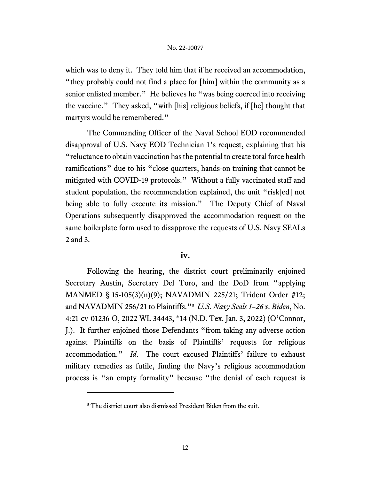which was to deny it. They told him that if he received an accommodation, "they probably could not find a place for [him] within the community as a senior enlisted member." He believes he "was being coerced into receiving the vaccine." They asked, "with [his] religious beliefs, if [he] thought that martyrs would be remembered."

The Commanding Officer of the Naval School EOD recommended disapproval of U.S. Navy EOD Technician 1's request, explaining that his "reluctance to obtain vaccination has the potential to create total force health ramifications" due to his "close quarters, hands-on training that cannot be mitigated with COVID-19 protocols." Without a fully vaccinated staff and student population, the recommendation explained, the unit "risk[ed] not being able to fully execute its mission." The Deputy Chief of Naval Operations subsequently disapproved the accommodation request on the same boilerplate form used to disapprove the requests of U.S. Navy SEALs 2 and 3.

# **iv.**

Following the hearing, the district court preliminarily enjoined Secretary Austin, Secretary Del Toro, and the DoD from "applying MANMED § 15-105(3)(n)(9); NAVADMIN 225/21; Trident Order #12; and NAVADMIN 256/21 to Plaintiffs."[5](#page-11-0) *U.S. Navy Seals 1–26 v. Biden*, No. 4:21-cv-01236-O, 2022 WL 34443, \*14 (N.D. Tex. Jan. 3, 2022) (O'Connor, J.). It further enjoined those Defendants "from taking any adverse action against Plaintiffs on the basis of Plaintiffs' requests for religious accommodation." *Id*. The court excused Plaintiffs' failure to exhaust military remedies as futile, finding the Navy's religious accommodation process is "an empty formality" because "the denial of each request is

<span id="page-11-0"></span><sup>&</sup>lt;sup>5</sup> The district court also dismissed President Biden from the suit.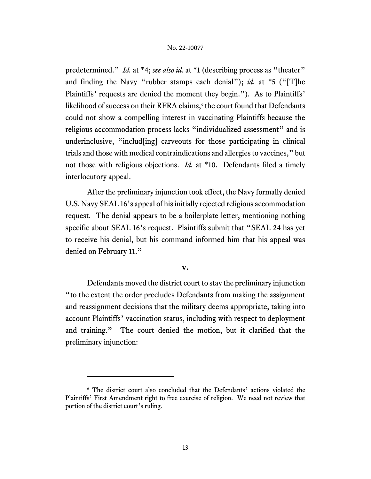predetermined." *Id.* at \*4; *see also id.* at \*1 (describing process as "theater" and finding the Navy "rubber stamps each denial"); *id.* at \*5 ("[T]he Plaintiffs' requests are denied the moment they begin."). As to Plaintiffs' likelihood of success on their RFRA claims,<sup>[6](#page-12-0)</sup> the court found that Defendants could not show a compelling interest in vaccinating Plaintiffs because the religious accommodation process lacks "individualized assessment" and is underinclusive, "includ[ing] carveouts for those participating in clinical trials and those with medical contraindications and allergies to vaccines," but not those with religious objections. *Id.* at \*10. Defendants filed a timely interlocutory appeal.

After the preliminary injunction took effect, the Navy formally denied U.S. Navy SEAL 16's appeal of his initially rejected religious accommodation request. The denial appears to be a boilerplate letter, mentioning nothing specific about SEAL 16's request. Plaintiffs submit that "SEAL 24 has yet to receive his denial, but his command informed him that his appeal was denied on February 11."

#### **v.**

Defendants moved the district court to stay the preliminary injunction "to the extent the order precludes Defendants from making the assignment and reassignment decisions that the military deems appropriate, taking into account Plaintiffs' vaccination status, including with respect to deployment and training." The court denied the motion, but it clarified that the preliminary injunction:

<span id="page-12-0"></span><sup>6</sup> The district court also concluded that the Defendants' actions violated the Plaintiffs' First Amendment right to free exercise of religion. We need not review that portion of the district court's ruling.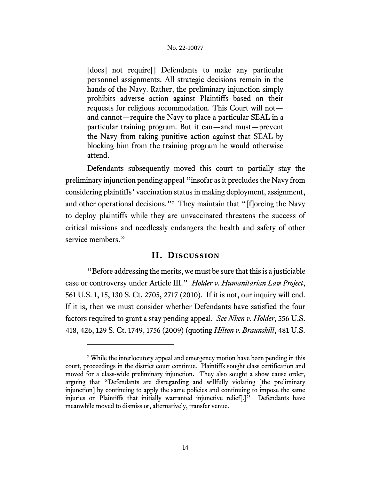[does] not require<sup>[]</sup> Defendants to make any particular personnel assignments. All strategic decisions remain in the hands of the Navy. Rather, the preliminary injunction simply prohibits adverse action against Plaintiffs based on their requests for religious accommodation. This Court will not and cannot—require the Navy to place a particular SEAL in a particular training program. But it can—and must—prevent the Navy from taking punitive action against that SEAL by blocking him from the training program he would otherwise attend.

Defendants subsequently moved this court to partially stay the preliminary injunction pending appeal "insofar as it precludes the Navy from considering plaintiffs' vaccination status in making deployment, assignment, and other operational decisions."<sup>[7](#page-13-0)</sup> They maintain that "[f]orcing the Navy to deploy plaintiffs while they are unvaccinated threatens the success of critical missions and needlessly endangers the health and safety of other service members."

# **II. Discussion**

"Before addressing the merits, we must be sure that this is a justiciable case or controversy under Article III." *Holder v. Humanitarian Law Project*, 561 U.S. 1, 15, 130 S. Ct. 2705, 2717 (2010). If it is not, our inquiry will end. If it is, then we must consider whether Defendants have satisfied the four factors required to grant a stay pending appeal. *See Nken v. Holder*, 556 U.S. 418, 426, 129 S. Ct. 1749, 1756 (2009) (quoting *Hilton v. Braunskill*, 481 U.S.

<span id="page-13-0"></span><sup>7</sup> While the interlocutory appeal and emergency motion have been pending in this court, proceedings in the district court continue. Plaintiffs sought class certification and moved for a class-wide preliminary injunction**.** They also sought a show cause order, arguing that "Defendants are disregarding and willfully violating [the preliminary injunction] by continuing to apply the same policies and continuing to impose the same injuries on Plaintiffs that initially warranted injunctive relief[.]"Defendants have meanwhile moved to dismiss or, alternatively, transfer venue.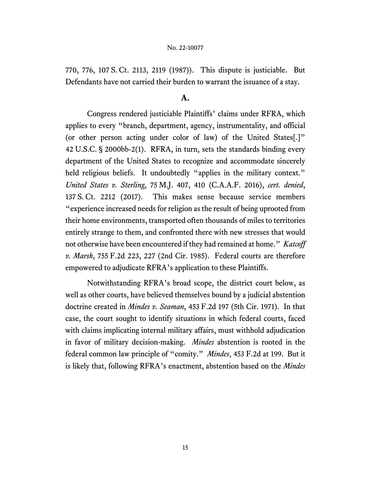770, 776, 107 S. Ct. 2113, 2119 (1987)). This dispute is justiciable. But Defendants have not carried their burden to warrant the issuance of a stay.

## **A.**

Congress rendered justiciable Plaintiffs' claims under RFRA, which applies to every "branch, department, agency, instrumentality, and official (or other person acting under color of law) of the United States[.]" 42 U.S.C. § 2000bb-2(1). RFRA, in turn, sets the standards binding every department of the United States to recognize and accommodate sincerely held religious beliefs. It undoubtedly "applies in the military context." *United States v. Sterling*, 75 M.J. 407, 410 (C.A.A.F. 2016), *cert. denied*, 137 S. Ct. 2212 (2017). This makes sense because service members "experience increased needs for religion as the result of being uprooted from their home environments, transported often thousands of miles to territories entirely strange to them, and confronted there with new stresses that would not otherwise have been encountered if they had remained at home." *Katcoff v. Marsh*, 755 F.2d 223, 227 (2nd Cir. 1985). Federal courts are therefore empowered to adjudicate RFRA's application to these Plaintiffs.

Notwithstanding RFRA's broad scope, the district court below, as well as other courts, have believed themselves bound by a judicial abstention doctrine created in *Mindes v. Seaman*, 453 F.2d 197 (5th Cir. 1971). In that case, the court sought to identify situations in which federal courts, faced with claims implicating internal military affairs, must withhold adjudication in favor of military decision-making. *Mindes* abstention is rooted in the federal common law principle of "comity." *Mindes*, 453 F.2d at 199. But it is likely that, following RFRA's enactment, abstention based on the *Mindes*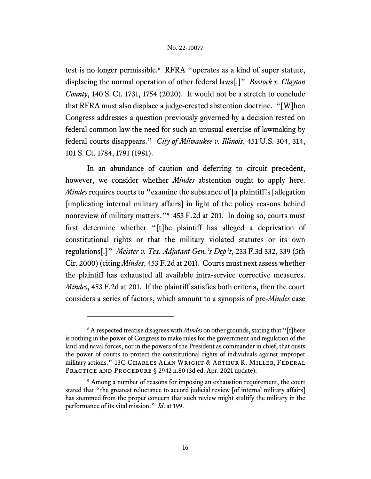test is no longer permissible.<sup>[8](#page-15-0)</sup> RFRA "operates as a kind of super statute, displacing the normal operation of other federal laws[.]" *Bostock v. Clayton County*, 140 S. Ct. 1731, 1754 (2020). It would not be a stretch to conclude that RFRA must also displace a judge-created abstention doctrine. "[W]hen Congress addresses a question previously governed by a decision rested on federal common law the need for such an unusual exercise of lawmaking by federal courts disappears." *City of Milwaukee v. Illinois*, 451 U.S. 304, 314, 101 S. Ct. 1784, 1791 (1981).

In an abundance of caution and deferring to circuit precedent, however, we consider whether *Mindes* abstention ought to apply here. *Mindes* requires courts to "examine the substance of [a plaintiff's] allegation [implicating internal military affairs] in light of the policy reasons behind nonreview of military matters."[9](#page-15-1) 453 F.2d at 201. In doing so, courts must first determine whether "[t]he plaintiff has alleged a deprivation of constitutional rights or that the military violated statutes or its own regulations[.]" *Meister v. Tex. Adjutant Gen.'s Dep't*, 233 F.3d 332, 339 (5th Cir. 2000) (citing *Mindes*, 453 F.2d at 201). Courts must next assess whether the plaintiff has exhausted all available intra-service corrective measures. *Mindes*, 453 F.2d at 201. If the plaintiff satisfies both criteria, then the court considers a series of factors, which amount to a synopsis of pre-*Mindes* case

<span id="page-15-0"></span><sup>8</sup> A respected treatise disagrees with *Mindes* on other grounds, stating that "[t]here is nothing in the power of Congress to make rules for the government and regulation of the land and naval forces, nor in the powers of the President as commander in chief, that ousts the power of courts to protect the constitutional rights of individuals against improper military actions." 13C Charles Alan Wright & Arthur R. Miller, Federal PRACTICE AND PROCEDURE § 2942 n.80 (3d ed. Apr. 2021 update).

<span id="page-15-1"></span><sup>9</sup> Among a number of reasons for imposing an exhaustion requirement, the court stated that "the greatest reluctance to accord judicial review [of internal military affairs] has stemmed from the proper concern that such review might stultify the military in the performance of its vital mission." *Id*. at 199.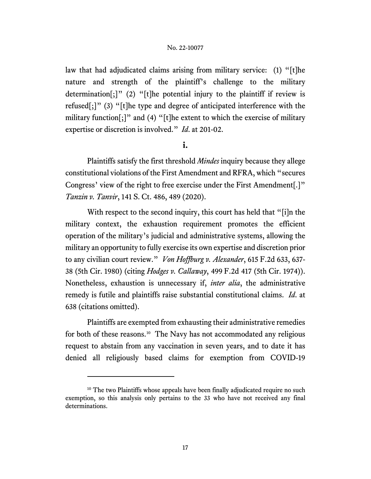law that had adjudicated claims arising from military service: (1) "[t]he nature and strength of the plaintiff's challenge to the military determination[;]" (2) "[t]he potential injury to the plaintiff if review is refused[;]" (3) "[t]he type and degree of anticipated interference with the military function[;]" and (4) "[t]he extent to which the exercise of military expertise or discretion is involved." *Id*. at 201-02.

# **i.**

Plaintiffs satisfy the first threshold *Mindes* inquiry because they allege constitutional violations of the First Amendment and RFRA, which "secures Congress' view of the right to free exercise under the First Amendment[.]" *Tanzin v. Tanvir*, 141 S. Ct. 486, 489 (2020).

With respect to the second inquiry, this court has held that "[i]n the military context, the exhaustion requirement promotes the efficient operation of the military's judicial and administrative systems, allowing the military an opportunity to fully exercise its own expertise and discretion prior to any civilian court review." *Von Hoffburg v. Alexander*, 615 F.2d 633, 637- 38 (5th Cir. 1980) (citing *Hodges v. Callaway*, 499 F.2d 417 (5th Cir. 1974)). Nonetheless, exhaustion is unnecessary if, *inter alia*, the administrative remedy is futile and plaintiffs raise substantial constitutional claims. *Id*. at 638 (citations omitted).

Plaintiffs are exempted from exhausting their administrative remedies for both of these reasons. [10](#page-16-0) The Navy has not accommodated any religious request to abstain from any vaccination in seven years, and to date it has denied all religiously based claims for exemption from COVID-19

<span id="page-16-0"></span><sup>&</sup>lt;sup>10</sup> The two Plaintiffs whose appeals have been finally adjudicated require no such exemption, so this analysis only pertains to the 33 who have not received any final determinations.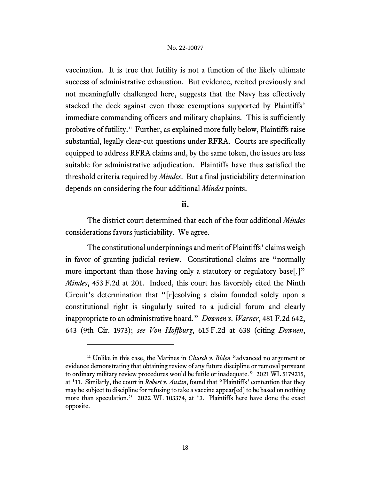vaccination. It is true that futility is not a function of the likely ultimate success of administrative exhaustion. But evidence, recited previously and not meaningfully challenged here, suggests that the Navy has effectively stacked the deck against even those exemptions supported by Plaintiffs' immediate commanding officers and military chaplains. This is sufficiently probative of futility.[11](#page-17-0) Further, as explained more fully below, Plaintiffs raise substantial, legally clear-cut questions under RFRA. Courts are specifically equipped to address RFRA claims and, by the same token, the issues are less suitable for administrative adjudication. Plaintiffs have thus satisfied the threshold criteria required by *Mindes*. But a final justiciability determination depends on considering the four additional *Mindes* points.

# **ii.**

The district court determined that each of the four additional *Mindes* considerations favors justiciability. We agree.

The constitutional underpinnings and merit of Plaintiffs' claims weigh in favor of granting judicial review. Constitutional claims are "normally more important than those having only a statutory or regulatory base.<sup>[1]</sup> *Mindes*, 453 F.2d at 201. Indeed, this court has favorably cited the Ninth Circuit's determination that "[r]esolving a claim founded solely upon a constitutional right is singularly suited to a judicial forum and clearly inappropriate to an administrative board." *Downen v. Warner*, 481 F.2d 642, 643 (9th Cir. 1973); *see Von Hoffburg*, 615 F.2d at 638 (citing *Downen*,

<span id="page-17-0"></span><sup>11</sup> Unlike in this case, the Marines in *Church v. Biden* "advanced no argument or evidence demonstrating that obtaining review of any future discipline or removal pursuant to ordinary military review procedures would be futile or inadequate." 2021 WL 5179215, at \*11. Similarly, the court in *Robert v. Austin*, found that "Plaintiffs' contention that they may be subject to discipline for refusing to take a vaccine appear[ed] to be based on nothing more than speculation." 2022 WL 103374, at \*3. Plaintiffs here have done the exact opposite.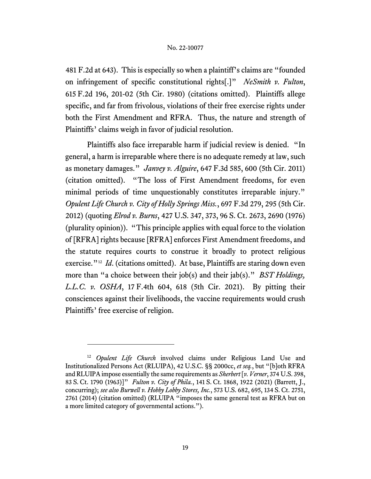481 F.2d at 643). This is especially so when a plaintiff's claims are "founded on infringement of specific constitutional rights[.]" *NeSmith v. Fulton*, 615 F.2d 196, 201-02 (5th Cir. 1980) (citations omitted). Plaintiffs allege specific, and far from frivolous, violations of their free exercise rights under both the First Amendment and RFRA. Thus, the nature and strength of Plaintiffs' claims weigh in favor of judicial resolution.

Plaintiffs also face irreparable harm if judicial review is denied. "In general, a harm is irreparable where there is no adequate remedy at law, such as monetary damages." *Janvey v. Alguire*, 647 F.3d 585, 600 (5th Cir. 2011) (citation omitted). "The loss of First Amendment freedoms, for even minimal periods of time unquestionably constitutes irreparable injury." *Opulent Life Church v. City of Holly Springs Miss.*, 697 F.3d 279, 295 (5th Cir. 2012) (quoting *Elrod v. Burns*, 427 U.S. 347, 373, 96 S. Ct. 2673, 2690 (1976) (plurality opinion)). "This principle applies with equal force to the violation of [RFRA] rights because [RFRA] enforces First Amendment freedoms, and the statute requires courts to construe it broadly to protect religious exercise.<sup>"12</sup> *Id.* (citations omitted). At base, Plaintiffs are staring down even more than "a choice between their job(s) and their jab(s)." *BST Holdings, L.L.C. v. OSHA*, 17 F.4th 604, 618 (5th Cir. 2021). By pitting their consciences against their livelihoods, the vaccine requirements would crush Plaintiffs' free exercise of religion.

<span id="page-18-0"></span><sup>12</sup> *Opulent Life Church* involved claims under Religious Land Use and Institutionalized Persons Act (RLUIPA), 42 U.S.C. §§ 2000cc, *et seq.*, but "[b]oth RFRA and RLUIPA impose essentially the same requirements as *Sherbert* [*v. Verner*, 374 U.S. 398, 83 S. Ct. 1790 (1963)]" *Fulton v. City of Phila.*, 141 S. Ct. 1868, 1922 (2021) (Barrett, J., concurring); *see also Burwell v. Hobby Lobby Stores, Inc.*, 573 U.S. 682, 695, 134 S. Ct. 2751, 2761 (2014) (citation omitted) (RLUIPA "imposes the same general test as RFRA but on a more limited category of governmental actions.").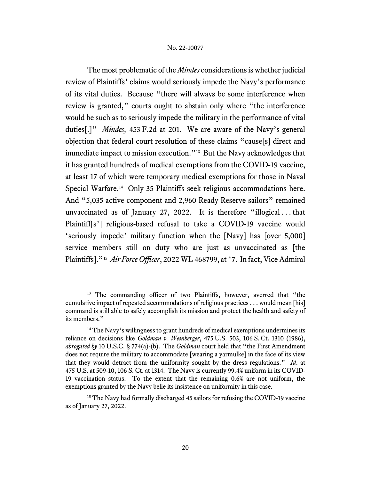The most problematic of the *Mindes* considerations is whether judicial review of Plaintiffs' claims would seriously impede the Navy's performance of its vital duties. Because "there will always be some interference when review is granted," courts ought to abstain only where "the interference would be such as to seriously impede the military in the performance of vital duties[.]" *Mindes,* 453 F.2d at 201. We are aware of the Navy's general objection that federal court resolution of these claims "cause[s] direct and immediate impact to mission execution."<sup>[13](#page-19-0)</sup> But the Navy acknowledges that it has granted hundreds of medical exemptions from the COVID-19 vaccine, at least 17 of which were temporary medical exemptions for those in Naval Special Warfare. [14](#page-19-1) Only 35 Plaintiffs seek religious accommodations here. And "5,035 active component and 2,960 Ready Reserve sailors" remained unvaccinated as of January 27, 2022. It is therefore "illogical . . . that Plaintiff[s'] religious-based refusal to take a COVID-19 vaccine would 'seriously impede' military function when the [Navy] has [over 5,000] service members still on duty who are just as unvaccinated as [the Plaintiffs]."[15](#page-19-2) *Air Force Officer*, 2022 WL 468799, at \*7. In fact, Vice Admiral

<span id="page-19-0"></span><sup>&</sup>lt;sup>13</sup> The commanding officer of two Plaintiffs, however, averred that "the cumulative impact of repeated accommodations of religious practices . . . would mean [his] command is still able to safely accomplish its mission and protect the health and safety of its members."

<span id="page-19-1"></span> $14$  The Navy's willingness to grant hundreds of medical exemptions undermines its reliance on decisions like *Goldman v. Weinberger*, 475 U.S. 503, 106 S. Ct. 1310 (1986), *abrogated by* 10 U.S.C. § 774(a)-(b). The *Goldman* court held that "the First Amendment does not require the military to accommodate [wearing a yarmulke] in the face of its view that they would detract from the uniformity sought by the dress regulations." *Id*. at 475 U.S. at 509-10, 106 S. Ct. at 1314. The Navy is currently 99.4% uniform in its COVID-19 vaccination status. To the extent that the remaining 0.6% are not uniform, the exemptions granted by the Navy belie its insistence on uniformity in this case.

<span id="page-19-2"></span><sup>&</sup>lt;sup>15</sup> The Navy had formally discharged 45 sailors for refusing the COVID-19 vaccine as of January 27, 2022.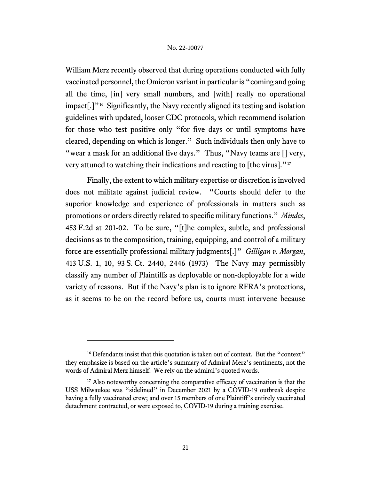William Merz recently observed that during operations conducted with fully vaccinated personnel, the Omicron variant in particular is "coming and going all the time, [in] very small numbers, and [with] really no operational  $impat[.]$ <sup>16</sup> Significantly, the Navy recently aligned its testing and isolation guidelines with updated, looser CDC protocols, which recommend isolation for those who test positive only "for five days or until symptoms have cleared, depending on which is longer." Such individuals then only have to "wear a mask for an additional five days." Thus, "Navy teams are  $[]$  very, very attuned to watching their indications and reacting to [the virus]."<sup>[17](#page-20-1)</sup>

Finally, the extent to which military expertise or discretion is involved does not militate against judicial review. "Courts should defer to the superior knowledge and experience of professionals in matters such as promotions or orders directly related to specific military functions." *Mindes*, 453 F.2d at 201-02. To be sure, "[t]he complex, subtle, and professional decisions as to the composition, training, equipping, and control of a military force are essentially professional military judgments[.]" *Gilligan v. Morgan*, 413 U.S. 1, 10, 93 S. Ct. 2440, 2446 (1973) The Navy may permissibly classify any number of Plaintiffs as deployable or non-deployable for a wide variety of reasons. But if the Navy's plan is to ignore RFRA's protections, as it seems to be on the record before us, courts must intervene because

<span id="page-20-0"></span><sup>&</sup>lt;sup>16</sup> Defendants insist that this quotation is taken out of context. But the "context" they emphasize is based on the article's summary of Admiral Merz's sentiments, not the words of Admiral Merz himself. We rely on the admiral's quoted words.

<span id="page-20-1"></span><sup>&</sup>lt;sup>17</sup> Also noteworthy concerning the comparative efficacy of vaccination is that the USS Milwaukee was "sidelined" in December 2021 by a COVID-19 outbreak despite having a fully vaccinated crew; and over 15 members of one Plaintiff's entirely vaccinated detachment contracted, or were exposed to, COVID-19 during a training exercise.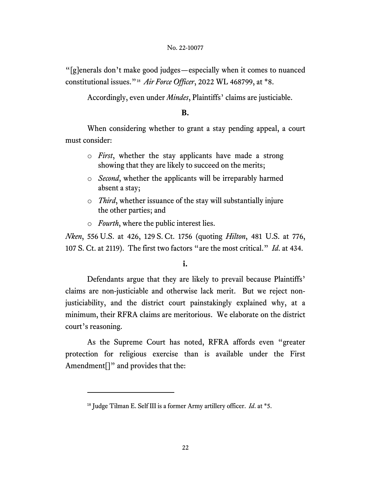"[g]enerals don't make good judges—especially when it comes to nuanced constitutional issues."[18](#page-21-0) *Air Force Officer*, 2022 WL 468799, at \*8.

Accordingly, even under *Mindes*, Plaintiffs' claims are justiciable.

## **B.**

When considering whether to grant a stay pending appeal, a court must consider:

- o *First*, whether the stay applicants have made a strong showing that they are likely to succeed on the merits;
- o *Second*, whether the applicants will be irreparably harmed absent a stay;
- o *Third*, whether issuance of the stay will substantially injure the other parties; and
- o *Fourth*, where the public interest lies.

*Nken*, 556 U.S. at 426, 129 S. Ct. 1756 (quoting *Hilton*, 481 U.S. at 776, 107 S. Ct. at 2119). The first two factors "are the most critical." *Id*. at 434.

# **i.**

Defendants argue that they are likely to prevail because Plaintiffs' claims are non-justiciable and otherwise lack merit. But we reject nonjusticiability, and the district court painstakingly explained why, at a minimum, their RFRA claims are meritorious. We elaborate on the district court's reasoning.

As the Supreme Court has noted, RFRA affords even "greater protection for religious exercise than is available under the First Amendment<sup>[]"</sup> and provides that the:

<span id="page-21-0"></span><sup>18</sup> Judge Tilman E. Self III is a former Army artillery officer. *Id*. at \*5.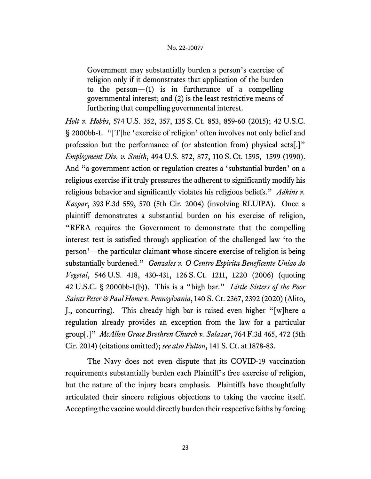Government may substantially burden a person's exercise of religion only if it demonstrates that application of the burden to the person $-(1)$  is in furtherance of a compelling governmental interest; and (2) is the least restrictive means of furthering that compelling governmental interest.

*Holt v. Hobbs*, 574 U.S. 352, 357, 135 S. Ct. 853, 859-60 (2015); 42 U.S.C. § 2000bb-1. "[T]he 'exercise of religion' often involves not only belief and profession but the performance of (or abstention from) physical acts[.]" *Employment Div. v. Smith*, 494 U.S. 872, 877, 110 S. Ct. 1595, 1599 (1990). And "a government action or regulation creates a 'substantial burden' on a religious exercise if it truly pressures the adherent to significantly modify his religious behavior and significantly violates his religious beliefs." *Adkins v. Kaspar*, 393 F.3d 559, 570 (5th Cir. 2004) (involving RLUIPA). Once a plaintiff demonstrates a substantial burden on his exercise of religion, "RFRA requires the Government to demonstrate that the compelling interest test is satisfied through application of the challenged law 'to the person'—the particular claimant whose sincere exercise of religion is being substantially burdened." *Gonzales v. O Centro Espirita Beneficente Uniao do Vegetal*, 546 U.S. 418, 430-431, 126 S. Ct. 1211, 1220 (2006) (quoting 42 U.S.C. § 2000bb-1(b)). This is a "high bar." *Little Sisters of the Poor Saints Peter & Paul Home v. Pennsylvania*, 140 S. Ct. 2367, 2392 (2020) (Alito, J., concurring). This already high bar is raised even higher "[w]here a regulation already provides an exception from the law for a particular group[.]" *McAllen Grace Brethren Church v. Salazar*, 764 F.3d 465, 472 (5th Cir. 2014) (citations omitted); *see also Fulton*, 141 S. Ct. at 1878-83.

The Navy does not even dispute that its COVID-19 vaccination requirements substantially burden each Plaintiff's free exercise of religion, but the nature of the injury bears emphasis. Plaintiffs have thoughtfully articulated their sincere religious objections to taking the vaccine itself. Accepting the vaccine would directly burden their respective faiths by forcing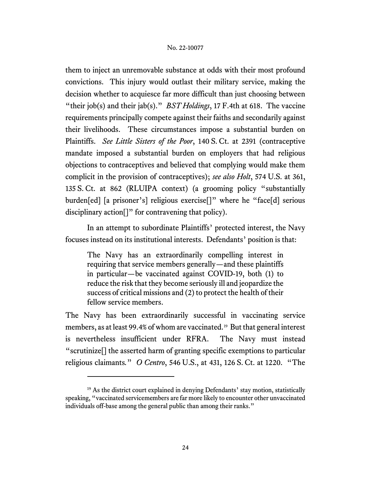them to inject an unremovable substance at odds with their most profound convictions. This injury would outlast their military service, making the decision whether to acquiesce far more difficult than just choosing between "their job(s) and their jab(s)." *BST Holdings*, 17 F.4th at 618. The vaccine requirements principally compete against their faiths and secondarily against their livelihoods. These circumstances impose a substantial burden on Plaintiffs. *See Little Sisters of the Poor*, 140 S. Ct. at 2391 (contraceptive mandate imposed a substantial burden on employers that had religious objections to contraceptives and believed that complying would make them complicit in the provision of contraceptives); *see also Holt*, 574 U.S. at 361, 135 S. Ct. at 862 (RLUIPA context) (a grooming policy "substantially burden[ed] [a prisoner's] religious exercise[]" where he "face[d] serious disciplinary action<sup>[]"</sup> for contravening that policy).

In an attempt to subordinate Plaintiffs' protected interest, the Navy focuses instead on its institutional interests. Defendants' position is that:

The Navy has an extraordinarily compelling interest in requiring that service members generally—and these plaintiffs in particular—be vaccinated against COVID-19, both (1) to reduce the risk that they become seriously ill and jeopardize the success of critical missions and (2) to protect the health of their fellow service members.

The Navy has been extraordinarily successful in vaccinating service members, as at least 99.4% of whom are vaccinated.[19](#page-23-0) But that general interest is nevertheless insufficient under RFRA. The Navy must instead "scrutinize[] the asserted harm of granting specific exemptions to particular religious claimants*.*" *O Centro*, 546 U.S., at 431, 126 S. Ct. at 1220. "The

<span id="page-23-0"></span> $19$  As the district court explained in denying Defendants' stay motion, statistically speaking, "vaccinated servicemembers are far more likely to encounter other unvaccinated individuals off-base among the general public than among their ranks."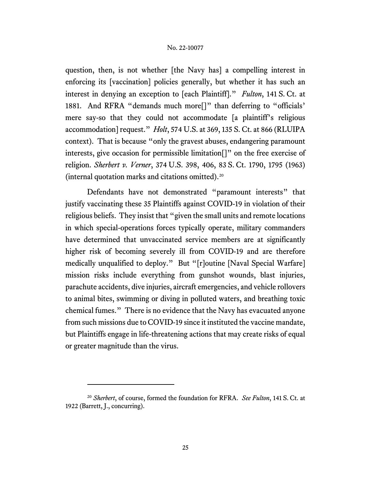question, then, is not whether [the Navy has] a compelling interest in enforcing its [vaccination] policies generally, but whether it has such an interest in denying an exception to [each Plaintiff]." *Fulton*, 141 S. Ct. at 1881. And RFRA "demands much more<sup>[]"</sup> than deferring to "officials" mere say-so that they could not accommodate [a plaintiff's religious accommodation] request." *Holt*, 574 U.S. at 369, 135 S. Ct. at 866 (RLUIPA context). That is because "only the gravest abuses, endangering paramount interests, give occasion for permissible limitation[]" on the free exercise of religion. *Sherbert v. Verner*, 374 U.S. 398, 406, 83 S. Ct. 1790, 1795 (1963) (internal quotation marks and citations omitted).[20](#page-24-0)

Defendants have not demonstrated "paramount interests" that justify vaccinating these 35 Plaintiffs against COVID-19 in violation of their religious beliefs. They insist that "given the small units and remote locations in which special-operations forces typically operate, military commanders have determined that unvaccinated service members are at significantly higher risk of becoming severely ill from COVID-19 and are therefore medically unqualified to deploy." But "[r]outine [Naval Special Warfare] mission risks include everything from gunshot wounds, blast injuries, parachute accidents, dive injuries, aircraft emergencies, and vehicle rollovers to animal bites, swimming or diving in polluted waters, and breathing toxic chemical fumes." There is no evidence that the Navy has evacuated anyone from such missions due to COVID-19 since it instituted the vaccine mandate, but Plaintiffs engage in life-threatening actions that may create risks of equal or greater magnitude than the virus.

<span id="page-24-0"></span><sup>20</sup> *Sherbert*, of course, formed the foundation for RFRA. *See Fulton*, 141 S. Ct. at 1922 (Barrett, J., concurring).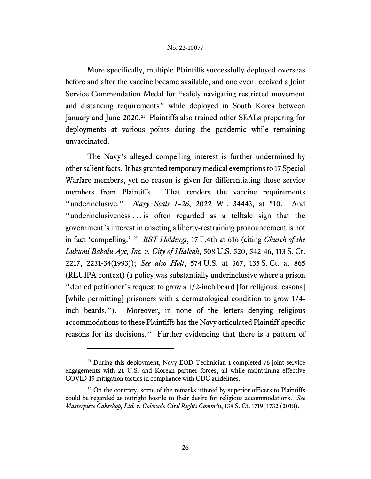More specifically, multiple Plaintiffs successfully deployed overseas before and after the vaccine became available, and one even received a Joint Service Commendation Medal for "safely navigating restricted movement and distancing requirements" while deployed in South Korea between January and June 2020.<sup>[21](#page-25-0)</sup> Plaintiffs also trained other SEALs preparing for deployments at various points during the pandemic while remaining unvaccinated.

The Navy's alleged compelling interest is further undermined by other salient facts. It has granted temporary medical exemptions to 17 Special Warfare members, yet no reason is given for differentiating those service members from Plaintiffs. That renders the vaccine requirements "underinclusive." *Navy Seals 1–26*, 2022 WL 34443, at \*10. And "underinclusiveness . . . is often regarded as a telltale sign that the government's interest in enacting a liberty-restraining pronouncement is not in fact 'compelling.' " *BST Holdings*, 17 F.4th at 616 (citing *Church of the Lukumi Babalu Aye, Inc. v. City of Hialeah*, 508 U.S. 520, 542-46, 113 S. Ct. 2217, 2231-34(1993)); *See also Holt*, 574 U.S. at 367, 135 S. Ct. at 865 (RLUIPA context) (a policy was substantially underinclusive where a prison "denied petitioner's request to grow a 1/2-inch beard [for religious reasons] [while permitting] prisoners with a dermatological condition to grow 1/4 inch beards."). Moreover, in none of the letters denying religious accommodations to these Plaintiffs has the Navy articulated Plaintiff-specific reasons for its decisions.<sup>[22](#page-25-1)</sup> Further evidencing that there is a pattern of

<span id="page-25-0"></span><sup>&</sup>lt;sup>21</sup> During this deployment, Navy EOD Technician 1 completed 76 joint service engagements with 21 U.S. and Korean partner forces, all while maintaining effective COVID-19 mitigation tactics in compliance with CDC guidelines.

<span id="page-25-1"></span> $22$  On the contrary, some of the remarks uttered by superior officers to Plaintiffs could be regarded as outright hostile to their desire for religious accommodations. *See Masterpiece Cakeshop, Ltd. v. Colorado Civil Rights Comm'n*, 138 S. Ct. 1719, 1732 (2018).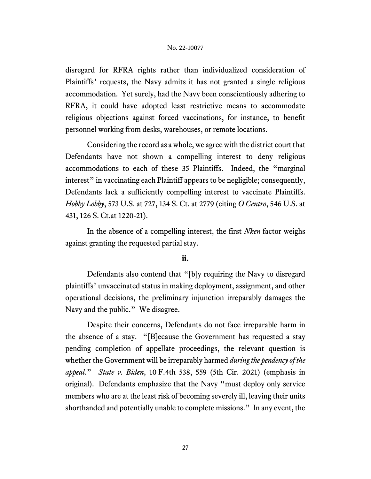disregard for RFRA rights rather than individualized consideration of Plaintiffs' requests, the Navy admits it has not granted a single religious accommodation. Yet surely, had the Navy been conscientiously adhering to RFRA, it could have adopted least restrictive means to accommodate religious objections against forced vaccinations, for instance, to benefit personnel working from desks, warehouses, or remote locations.

Considering the record as a whole, we agree with the district court that Defendants have not shown a compelling interest to deny religious accommodations to each of these 35 Plaintiffs. Indeed, the "marginal interest" in vaccinating each Plaintiff appears to be negligible; consequently, Defendants lack a sufficiently compelling interest to vaccinate Plaintiffs. *Hobby Lobby*, 573 U.S. at 727, 134 S. Ct. at 2779 (citing *O Centro*, 546 U.S. at 431, 126 S. Ct.at 1220-21).

In the absence of a compelling interest, the first *Nken* factor weighs against granting the requested partial stay.

# **ii.**

Defendants also contend that "[b]y requiring the Navy to disregard plaintiffs' unvaccinated status in making deployment, assignment, and other operational decisions, the preliminary injunction irreparably damages the Navy and the public." We disagree.

Despite their concerns, Defendants do not face irreparable harm in the absence of a stay. "[B]ecause the Government has requested a stay pending completion of appellate proceedings, the relevant question is whether the Government will be irreparably harmed *during the pendency of the appeal*." *State v. Biden*, 10 F.4th 538, 559 (5th Cir. 2021) (emphasis in original). Defendants emphasize that the Navy "must deploy only service members who are at the least risk of becoming severely ill, leaving their units shorthanded and potentially unable to complete missions." In any event, the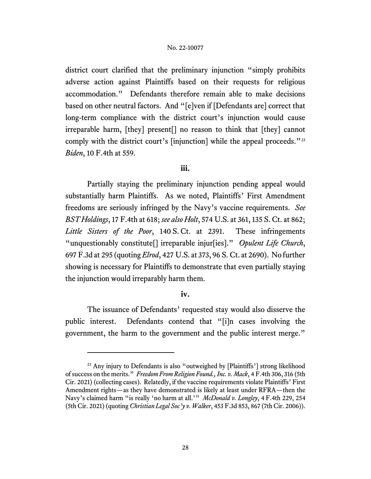district court clarified that the preliminary injunction "simply prohibits adverse action against Plaintiffs based on their requests for religious accommodation." Defendants therefore remain able to make decisions based on other neutral factors. And "[e]ven if [Defendants are] correct that long-term compliance with the district court's injunction would cause irreparable harm, [they] present[] no reason to think that [they] cannot comply with the district court's [injunction] while the appeal proceeds."<sup>[23](#page-27-0)</sup> *Biden*, 10 F.4th at 559.

# **iii.**

Partially staying the preliminary injunction pending appeal would substantially harm Plaintiffs. As we noted, Plaintiffs' First Amendment freedoms are seriously infringed by the Navy's vaccine requirements. *See BST Holdings*, 17 F.4th at 618; *see also Holt*, 574 U.S. at 361, 135 S. Ct. at 862; *Little Sisters of the Poor*, 140 S. Ct. at 2391. These infringements "unquestionably constitute[] irreparable injur[ies]." *Opulent Life Church*, 697 F.3d at 295 (quoting *Elrod*, 427 U.S. at 373, 96 S. Ct. at 2690). No further showing is necessary for Plaintiffs to demonstrate that even partially staying the injunction would irreparably harm them.

# **iv.**

The issuance of Defendants' requested stay would also disserve the public interest. Defendants contend that "[i]n cases involving the government, the harm to the government and the public interest merge."

<span id="page-27-0"></span><sup>&</sup>lt;sup>23</sup> Any injury to Defendants is also "outweighed by [Plaintiffs'] strong likelihood of success on the merits." *Freedom From Religion Found., Inc. v. Mack*, 4 F.4th 306, 316 (5th Cir. 2021) (collecting cases). Relatedly, if the vaccine requirements violate Plaintiffs' First Amendment rights—as they have demonstrated is likely at least under RFRA—then the Navy's claimed harm "is really 'no harm at all.'" *McDonald v. Longley*, 4 F.4th 229, 254 (5th Cir. 2021) (quoting *Christian Legal Soc'y v. Walker*, 453 F.3d 853, 867 (7th Cir. 2006)).